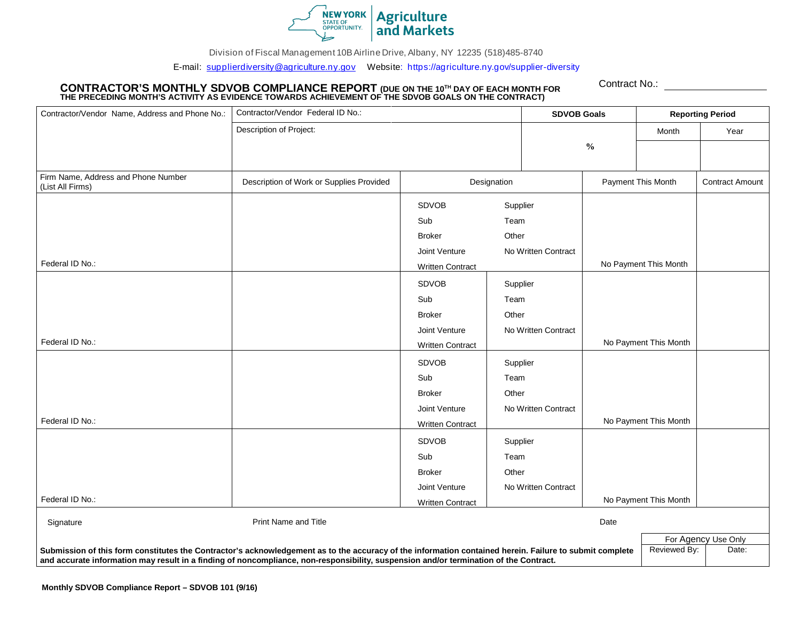

Division of Fiscal Management 10B Airli[ne Drive, Albany, NY 12235](mailto:mwbe@agriculture.ny.gov) (518)485-8740

E-mail: supplierdiversity@agriculture.ny.gov Website: https://agriculture.ny.gov/supplier-diversity

## CONTRACTOR'S MONTHLY SDVOB COMPLIANCE REPORT (DUE ON THE 10™ DAY OF EACH MONTH FOR<br>THE PRECEDING MONTH'S ACTIVITY AS EVIDENCE TOWARDS ACHIEVEMENT OF THE SDVOB GOALS ON THE CONTRACT)

Contract No.:

| Contractor/Vendor Name, Address and Phone No.:                                                                                                                                                                                                                                                                            | Contractor/Vendor Federal ID No.:        |                         |                       | <b>SDVOB Goals</b>  |                       | <b>Reporting Period</b> |                        |
|---------------------------------------------------------------------------------------------------------------------------------------------------------------------------------------------------------------------------------------------------------------------------------------------------------------------------|------------------------------------------|-------------------------|-----------------------|---------------------|-----------------------|-------------------------|------------------------|
|                                                                                                                                                                                                                                                                                                                           | Description of Project:                  |                         |                       | $\frac{0}{0}$       |                       | Month                   | Year                   |
|                                                                                                                                                                                                                                                                                                                           |                                          |                         |                       |                     |                       |                         |                        |
|                                                                                                                                                                                                                                                                                                                           |                                          |                         |                       |                     |                       |                         |                        |
| Firm Name, Address and Phone Number<br>(List All Firms)                                                                                                                                                                                                                                                                   | Description of Work or Supplies Provided | Designation             |                       |                     | Payment This Month    |                         | <b>Contract Amount</b> |
|                                                                                                                                                                                                                                                                                                                           |                                          | <b>SDVOB</b>            | Supplier              |                     |                       |                         |                        |
|                                                                                                                                                                                                                                                                                                                           |                                          | Sub                     | Team                  |                     |                       |                         |                        |
|                                                                                                                                                                                                                                                                                                                           |                                          | <b>Broker</b>           | Other                 |                     |                       |                         |                        |
|                                                                                                                                                                                                                                                                                                                           |                                          | Joint Venture           |                       | No Written Contract |                       |                         |                        |
| Federal ID No.:                                                                                                                                                                                                                                                                                                           | <b>Written Contract</b>                  |                         |                       |                     | No Payment This Month |                         |                        |
|                                                                                                                                                                                                                                                                                                                           |                                          | <b>SDVOB</b>            | Supplier              |                     |                       |                         |                        |
|                                                                                                                                                                                                                                                                                                                           |                                          | Sub                     | Team                  |                     |                       |                         |                        |
|                                                                                                                                                                                                                                                                                                                           |                                          | <b>Broker</b>           | Other                 |                     |                       |                         |                        |
|                                                                                                                                                                                                                                                                                                                           |                                          | Joint Venture           |                       | No Written Contract |                       |                         |                        |
| Federal ID No.:                                                                                                                                                                                                                                                                                                           |                                          | <b>Written Contract</b> |                       |                     |                       | No Payment This Month   |                        |
|                                                                                                                                                                                                                                                                                                                           |                                          | <b>SDVOB</b>            | Supplier              |                     |                       |                         |                        |
|                                                                                                                                                                                                                                                                                                                           |                                          | Sub                     | Team                  |                     |                       |                         |                        |
|                                                                                                                                                                                                                                                                                                                           |                                          | <b>Broker</b>           | Other                 |                     |                       |                         |                        |
|                                                                                                                                                                                                                                                                                                                           |                                          | Joint Venture           |                       | No Written Contract |                       |                         |                        |
| Federal ID No.:                                                                                                                                                                                                                                                                                                           |                                          | <b>Written Contract</b> |                       |                     |                       | No Payment This Month   |                        |
|                                                                                                                                                                                                                                                                                                                           |                                          | <b>SDVOB</b>            | Supplier              |                     |                       |                         |                        |
|                                                                                                                                                                                                                                                                                                                           |                                          | Sub                     | Team                  |                     |                       |                         |                        |
|                                                                                                                                                                                                                                                                                                                           |                                          | <b>Broker</b>           | Other                 |                     |                       |                         |                        |
|                                                                                                                                                                                                                                                                                                                           |                                          | Joint Venture           |                       | No Written Contract |                       |                         |                        |
| Federal ID No.:                                                                                                                                                                                                                                                                                                           |                                          | <b>Written Contract</b> | No Payment This Month |                     |                       |                         |                        |
| Signature                                                                                                                                                                                                                                                                                                                 | Print Name and Title<br>Date             |                         |                       |                     |                       |                         |                        |
| For Agency Use Only                                                                                                                                                                                                                                                                                                       |                                          |                         |                       |                     |                       |                         |                        |
| Reviewed By:<br>Date:<br>Submission of this form constitutes the Contractor's acknowledgement as to the accuracy of the information contained herein. Failure to submit complete<br>and accurate information may result in a finding of noncompliance, non-responsibility, suspension and/or termination of the Contract. |                                          |                         |                       |                     |                       |                         |                        |